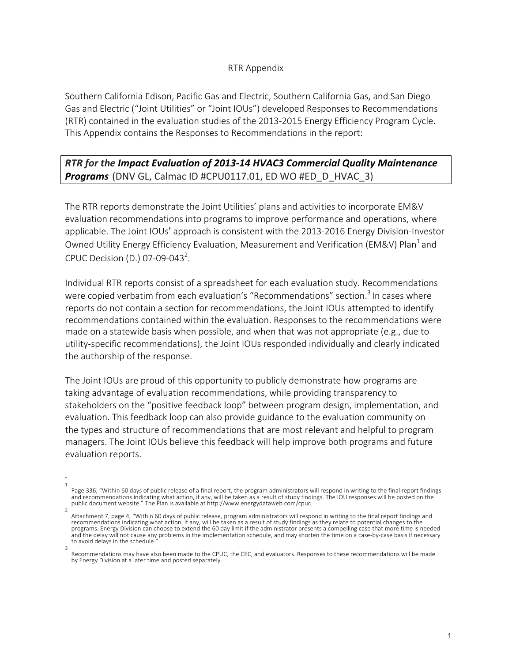## RTR Appendix

Southern California Edison, Pacific Gas and Electric, Southern California Gas, and San Diego Gas and Electric ("Joint Utilities" or "Joint IOUs") developed Responses to Recommendations (RTR) contained in the evaluation studies of the 2013-2015 Energy Efficiency Program Cycle. This Appendix contains the Responses to Recommendations in the report:

**RTR** for the Impact Evaluation of 2013-14 HVAC3 Commercial Quality Maintenance **Programs** (DNV GL, Calmac ID #CPU0117.01, ED WO #ED D HVAC 3)

The RTR reports demonstrate the Joint Utilities' plans and activities to incorporate EM&V evaluation recommendations into programs to improve performance and operations, where applicable. The Joint IOUs' approach is consistent with the 2013-2016 Energy Division-Investor Owned Utility Energy Efficiency Evaluation, Measurement and Verification (EM&V) Plan<sup>1</sup> and CPUC Decision (D.) 07-09-043<sup>2</sup>.

Individual RTR reports consist of a spreadsheet for each evaluation study. Recommendations were copied verbatim from each evaluation's "Recommendations" section.<sup>3</sup> In cases where reports do not contain a section for recommendations, the Joint IOUs attempted to identify recommendations contained within the evaluation. Responses to the recommendations were made on a statewide basis when possible, and when that was not appropriate (e.g., due to utility-specific recommendations), the Joint IOUs responded individually and clearly indicated the authorship of the response.

The Joint IOUs are proud of this opportunity to publicly demonstrate how programs are taking advantage of evaluation recommendations, while providing transparency to stakeholders on the "positive feedback loop" between program design, implementation, and evaluation. This feedback loop can also provide guidance to the evaluation community on the types and structure of recommendations that are most relevant and helpful to program managers. The Joint IOUs believe this feedback will help improve both programs and future evaluation reports.

<sup>1</sup> Page 336, "Within 60 days of public release of a final report, the program administrators will respond in writing to the final report findings and recommendations indicating what action, if any, will be taken as a result of study findings. The IOU responses will be posted on the public document website." The Plan is available at http://www.energydataweb.com/cpuc.

<sup>2</sup> Attachment 7, page 4, "Within 60 days of public release, program administrators will respond in writing to the final report findings and recommendations indicating what action, if any, will be taken as a result of study findings as they relate to potential changes to the programs. Energy Division can choose to extend the 60 day limit if the administrator presents a compelling case that more time is needed and the delay will not cause any problems in the implementation schedule, and may shorten the time on a case-by-case basis if necessary to avoid delays in the schedule. 3

Recommendations may have also been made to the CPUC, the CEC, and evaluators. Responses to these recommendations will be made by Energy Division at a later time and posted separately.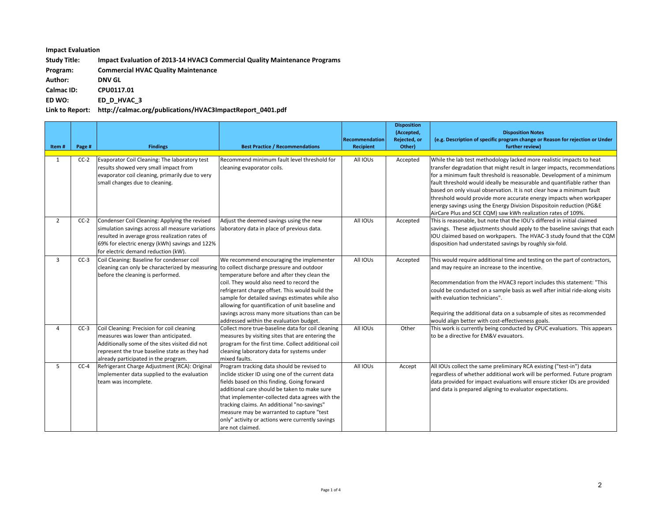## **Impact Evaluation**

Study Title: **Impact Evaluation of 2013-14 HVAC3 Commercial Quality Maintenance Programs** 

**Program: Commercial HVAC Quality Maintenance**

**Author: DNV GL**

**Calmac ID: CPU0117.01**

**ED WO: ED\_D\_HVAC\_3**

Link to Report: http://calmac.org/publications/HVAC3ImpactReport\_0401.pdf

| Item#          | Page # | <b>Findings</b>                                                                                                                                                                                                               | <b>Best Practice / Recommendations</b>                                                                                                                                                                                                                                                                                                                                                                               | Recommendation<br>Recipient | <b>Disposition</b><br>(Accepted,<br>Rejected, or<br>Other) | <b>Disposition Notes</b><br>(e.g. Description of specific program change or Reason for rejection or Under<br>further review)                                                                                                                                                                                                                                                                                                                           |
|----------------|--------|-------------------------------------------------------------------------------------------------------------------------------------------------------------------------------------------------------------------------------|----------------------------------------------------------------------------------------------------------------------------------------------------------------------------------------------------------------------------------------------------------------------------------------------------------------------------------------------------------------------------------------------------------------------|-----------------------------|------------------------------------------------------------|--------------------------------------------------------------------------------------------------------------------------------------------------------------------------------------------------------------------------------------------------------------------------------------------------------------------------------------------------------------------------------------------------------------------------------------------------------|
| $\mathbf{1}$   | $CC-2$ | Evaporator Coil Cleaning: The laboratory test<br>results showed very small impact from<br>evaporator coil cleaning, primarily due to very<br>small changes due to cleaning.                                                   | Recommend minimum fault level threshold for<br>cleaning evaporator coils.                                                                                                                                                                                                                                                                                                                                            | All IOUs                    | Accepted                                                   | While the lab test methodology lacked more realistic impacts to heat<br>transfer degradation that might result in larger impacts, recommendations<br>for a minimum fault threshold is reasonable. Development of a minimum<br>fault threshold would ideally be measurable and quantifiable rather than<br>based on only visual observation. It is not clear how a minimum fault<br>threshold would provide more accurate energy impacts when workpaper |
| $\overline{2}$ | $CC-2$ | Condenser Coil Cleaning: Applying the revised<br>simulation savings across all measure variations                                                                                                                             | Adjust the deemed savings using the new<br>laboratory data in place of previous data.                                                                                                                                                                                                                                                                                                                                | All IOUs                    | Accepted                                                   | energy savings using the Energy Division Dispositoin reduction (PG&E<br>AirCare Plus and SCE CQM) saw kWh realization rates of 109%.<br>This is reasonable, but note that the IOU's differed in initial claimed<br>savings. These adjustments should apply to the baseline savings that each                                                                                                                                                           |
|                |        | resulted in average gross realization rates of<br>69% for electric energy (kWh) savings and 122%<br>for electric demand reduction (kW).                                                                                       |                                                                                                                                                                                                                                                                                                                                                                                                                      |                             |                                                            | IOU claimed based on workpapers. The HVAC-3 study found that the CQM<br>disposition had understated savings by roughly six-fold.                                                                                                                                                                                                                                                                                                                       |
| 3              | $CC-3$ | Coil Cleaning: Baseline for condenser coil<br>cleaning can only be characterized by measuring to collect discharge pressure and outdoor<br>before the cleaning is performed.                                                  | We recommend encouraging the implementer<br>temperature before and after they clean the<br>coil. They would also need to record the<br>refrigerant charge offset. This would build the<br>sample for detailed savings estimates while also<br>allowing for quantification of unit baseline and<br>savings across many more situations than can be<br>addressed within the evaluation budget.                         | All IOUs                    | Accepted                                                   | This would require additional time and testing on the part of contractors,<br>and may require an increase to the incentive.<br>Recommendation from the HVAC3 report includes this statement: "This<br>could be conducted on a sample basis as well after initial ride-along visits<br>with evaluation technicians".<br>Requiring the additional data on a subsample of sites as recommended<br>would align better with cost-effectiveness goals.       |
| Δ              | $CC-3$ | Coil Cleaning: Precision for coil cleaning<br>measures was lower than anticipated.<br>Additionally some of the sites visited did not<br>represent the true baseline state as they had<br>already participated in the program. | Collect more true-baseline data for coil cleaning<br>measures by visiting sites that are entering the<br>program for the first time. Collect additional coil<br>cleaning laboratory data for systems under<br>mixed faults.                                                                                                                                                                                          | All IOUs                    | Other                                                      | This work is currently being conducted by CPUC evaluatiors. This appears<br>to be a directive for EM&V evauators.                                                                                                                                                                                                                                                                                                                                      |
| 5              | $CC-4$ | Refrigerant Charge Adjustment (RCA): Original<br>implementer data supplied to the evaluation<br>team was incomplete.                                                                                                          | Program tracking data should be revised to<br>inclide sticker ID using one of the current data<br>fields based on this finding. Going forward<br>additional care should be taken to make sure<br>that implementer-collected data agrees with the<br>tracking claims. An additional "no-savings"<br>measure may be warranted to capture "test<br>only" activity or actions were currently savings<br>are not claimed. | All IOUs                    | Accept                                                     | All IOUs collect the same preliminary RCA existing ("test-in") data<br>regardless of whether additional work will be performed. Future program<br>data provided for impact evaluations will ensure sticker IDs are provided<br>and data is prepared aligning to evaluator expectations.                                                                                                                                                                |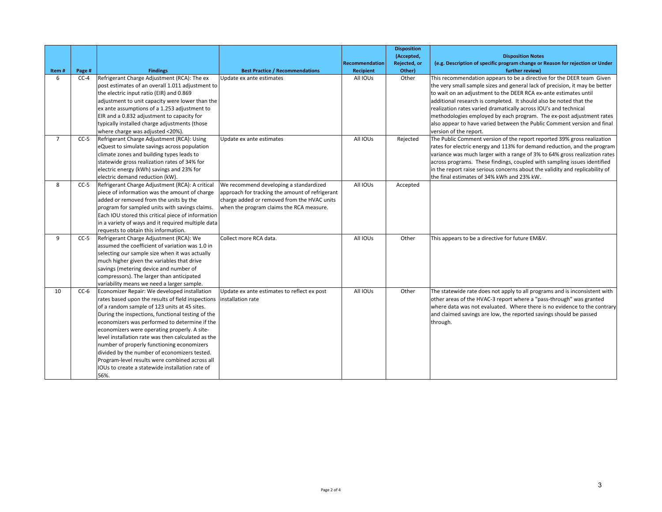| Item#          | Page # | <b>Findings</b>                                                                                                                                                                                                                                                                                                                                                                                                                                                                                                                                                                             | <b>Best Practice / Recommendations</b>                                                                                                                                               | <b>Recommendation</b><br><b>Recipient</b> | <b>Disposition</b><br>(Accepted,<br>Rejected, or<br>Other) | <b>Disposition Notes</b><br>(e.g. Description of specific program change or Reason for rejection or Under<br>further review)                                                                                                                                                                                                                                                                                                                                                                                                                    |
|----------------|--------|---------------------------------------------------------------------------------------------------------------------------------------------------------------------------------------------------------------------------------------------------------------------------------------------------------------------------------------------------------------------------------------------------------------------------------------------------------------------------------------------------------------------------------------------------------------------------------------------|--------------------------------------------------------------------------------------------------------------------------------------------------------------------------------------|-------------------------------------------|------------------------------------------------------------|-------------------------------------------------------------------------------------------------------------------------------------------------------------------------------------------------------------------------------------------------------------------------------------------------------------------------------------------------------------------------------------------------------------------------------------------------------------------------------------------------------------------------------------------------|
| 6              | $CC-4$ | Refrigerant Charge Adjustment (RCA): The ex<br>post estimates of an overall 1.011 adjustment to<br>the electric input ratio (EIR) and 0.869<br>adjustment to unit capacity were lower than the<br>ex ante assumptions of a 1.253 adjustment to<br>EIR and a 0.832 adjustment to capacity for<br>typically installed charge adjustments (those<br>where charge was adjusted <20%).                                                                                                                                                                                                           | Update ex ante estimates                                                                                                                                                             | All IOUs                                  | Other                                                      | This recommendation appears to be a directive for the DEER team Given<br>the very small sample sizes and general lack of precision, it may be better<br>to wait on an adjustment to the DEER RCA ex-ante estimates until<br>additional research is completed. It should also be noted that the<br>realization rates varied dramatically across IOU's and technical<br>methodologies employed by each program. The ex-post adjustment rates<br>also appear to have varied between the Public Comment version and final<br>version of the report. |
| $\overline{7}$ | $CC-5$ | Refrigerant Charge Adjustment (RCA): Using<br>eQuest to simulate savings across population<br>climate zones and building types leads to<br>statewide gross realization rates of 34% for<br>electric energy (kWh) savings and 23% for<br>electric demand reduction (kW).                                                                                                                                                                                                                                                                                                                     | Update ex ante estimates                                                                                                                                                             | All IOUs                                  | Rejected                                                   | The Public Comment version of the report reported 39% gross realization<br>rates for electric energy and 113% for demand reduction, and the program<br>variance was much larger with a range of 3% to 64% gross realization rates<br>across programs. These findings, coupled with sampling issues identified<br>in the report raise serious concerns about the validity and replicability of<br>the final estimates of 34% kWh and 23% kW.                                                                                                     |
| 8              | $CC-5$ | Refrigerant Charge Adjustment (RCA): A critical<br>piece of information was the amount of charge<br>added or removed from the units by the<br>program for sampled units with savings claims.<br>Each IOU stored this critical piece of information<br>in a variety of ways and it required multiple data<br>requests to obtain this information.                                                                                                                                                                                                                                            | We recommend developing a standardized<br>approach for tracking the amount of refrigerant<br>charge added or removed from the HVAC units<br>when the program claims the RCA measure. | All IOUs                                  | Accepted                                                   |                                                                                                                                                                                                                                                                                                                                                                                                                                                                                                                                                 |
| 9              | $CC-5$ | Refrigerant Charge Adjustment (RCA): We<br>assumed the coefficient of variation was 1.0 in<br>selecting our sample size when it was actually<br>much higher given the variables that drive<br>savings (metering device and number of<br>compressors). The larger than anticipated<br>variability means we need a larger sample.                                                                                                                                                                                                                                                             | Collect more RCA data.                                                                                                                                                               | All IOUs                                  | Other                                                      | This appears to be a directive for future EM&V.                                                                                                                                                                                                                                                                                                                                                                                                                                                                                                 |
| 10             | $CC-6$ | Economizer Repair: We developed installation<br>rates based upon the results of field inspections  installation rate<br>of a random sample of 123 units at 45 sites.<br>During the inspections, functional testing of the<br>economizers was performed to determine if the<br>economizers were operating properly. A site-<br>level installation rate was then calculated as the<br>number of properly functioning economizers<br>divided by the number of economizers tested.<br>Program-level results were combined across all<br>IOUs to create a statewide installation rate of<br>56%. | Update ex ante estimates to reflect ex post                                                                                                                                          | All IOUs                                  | Other                                                      | The statewide rate does not apply to all programs and is inconsistent with<br>other areas of the HVAC-3 report where a "pass-through" was granted<br>where data was not evaluated. Where there is no evidence to the contrary<br>and claimed savings are low, the reported savings should be passed<br>through.                                                                                                                                                                                                                                 |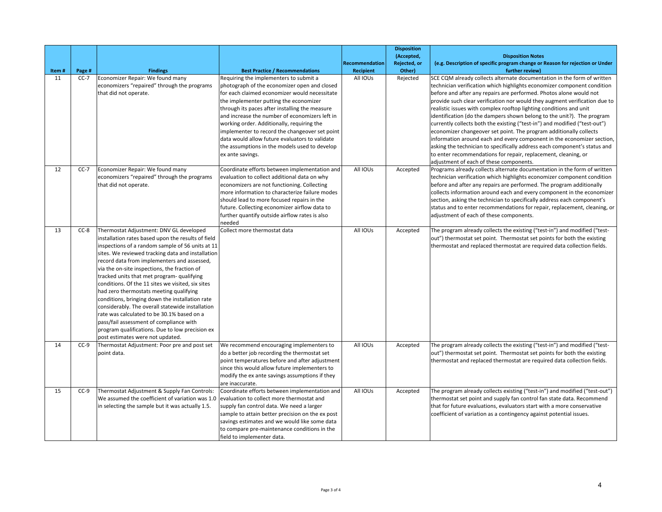| Item# | Page # | <b>Findings</b>                                                                                                                                                                                                                                                                                                                                                                                                                                                                                                                                                                                                                                                                                                                            | <b>Best Practice / Recommendations</b>                                                                                                                                                                                                                                                                                                                                                                                                                                                                       | <b>Recommendation</b><br>Recipient | <b>Disposition</b><br>(Accepted,<br>Rejected, or<br>Other) | <b>Disposition Notes</b><br>(e.g. Description of specific program change or Reason for rejection or Under<br>further review)                                                                                                                                                                                                                                                                                                                                                                                                                                                                                                                                                                                                                                                                                                                                                   |
|-------|--------|--------------------------------------------------------------------------------------------------------------------------------------------------------------------------------------------------------------------------------------------------------------------------------------------------------------------------------------------------------------------------------------------------------------------------------------------------------------------------------------------------------------------------------------------------------------------------------------------------------------------------------------------------------------------------------------------------------------------------------------------|--------------------------------------------------------------------------------------------------------------------------------------------------------------------------------------------------------------------------------------------------------------------------------------------------------------------------------------------------------------------------------------------------------------------------------------------------------------------------------------------------------------|------------------------------------|------------------------------------------------------------|--------------------------------------------------------------------------------------------------------------------------------------------------------------------------------------------------------------------------------------------------------------------------------------------------------------------------------------------------------------------------------------------------------------------------------------------------------------------------------------------------------------------------------------------------------------------------------------------------------------------------------------------------------------------------------------------------------------------------------------------------------------------------------------------------------------------------------------------------------------------------------|
| 11    | $CC-7$ | Economizer Repair: We found many<br>economizers "repaired" through the programs<br>that did not operate.                                                                                                                                                                                                                                                                                                                                                                                                                                                                                                                                                                                                                                   | Requiring the implementers to submit a<br>photograph of the economizer open and closed<br>for each claimed economizer would necessitate<br>the implementer putting the economizer<br>through its paces after installing the measure<br>and increase the number of economizers left in<br>working order. Additionally, requiring the<br>implementer to record the changeover set point<br>data would allow future evaluators to validate<br>the assumptions in the models used to develop<br>ex ante savings. | All IOUs                           | Rejected                                                   | SCE CQM already collects alternate documentation in the form of written<br>technician verification which highlights economizer component condition<br>before and after any repairs are performed. Photos alone would not<br>provide such clear verification nor would they augment verification due to<br>realistic issues with complex rooftop lighting conditions and unit<br>identification (do the dampers shown belong to the unit?). The program<br>currently collects both the existing ("test-in") and modified ("test-out")<br>economizer changeover set point. The program additionally collects<br>information around each and every component in the economizer section,<br>asking the technician to specifically address each component's status and<br>to enter recommendations for repair, replacement, cleaning, or<br>adjustment of each of these components. |
| 12    | $CC-7$ | Economizer Repair: We found many<br>economizers "repaired" through the programs<br>that did not operate.                                                                                                                                                                                                                                                                                                                                                                                                                                                                                                                                                                                                                                   | Coordinate efforts between implementation and<br>evaluation to collect additional data on why<br>economizers are not functioning. Collecting<br>more information to characterize failure modes<br>should lead to more focused repairs in the<br>future. Collecting economizer airflow data to<br>further quantify outside airflow rates is also<br>needed                                                                                                                                                    | All IOUs                           | Accepted                                                   | Programs already collects alternate documentation in the form of written<br>technician verification which highlights economizer component condition<br>before and after any repairs are performed. The program additionally<br>collects information around each and every component in the economizer<br>section, asking the technician to specifically address each component's<br>status and to enter recommendations for repair, replacement, cleaning, or<br>adjustment of each of these components.                                                                                                                                                                                                                                                                                                                                                                       |
| 13    | $CC-8$ | Thermostat Adjustment: DNV GL developed<br>installation rates based upon the results of field<br>inspections of a random sample of 56 units at 11<br>sites. We reviewed tracking data and installation<br>record data from implementers and assessed,<br>via the on-site inspections, the fraction of<br>tracked units that met program- qualifying<br>conditions. Of the 11 sites we visited, six sites<br>had zero thermostats meeting qualifying<br>conditions, bringing down the installation rate<br>considerably. The overall statewide installation<br>rate was calculated to be 30.1% based on a<br>pass/fail assessment of compliance with<br>program qualifications. Due to low precision ex<br>post estimates were not updated. | Collect more thermostat data                                                                                                                                                                                                                                                                                                                                                                                                                                                                                 | All IOUs                           | Accepted                                                   | The program already collects the existing ("test-in") and modified ("test-<br>out") thermostat set point. Thermostat set points for both the existing<br>thermostat and replaced thermostat are required data collection fields.                                                                                                                                                                                                                                                                                                                                                                                                                                                                                                                                                                                                                                               |
| 14    | $CC-9$ | Thermostat Adjustment: Poor pre and post set<br>point data.                                                                                                                                                                                                                                                                                                                                                                                                                                                                                                                                                                                                                                                                                | We recommend encouraging implementers to<br>do a better job recording the thermostat set<br>point temperatures before and after adjustment<br>since this would allow future implementers to<br>modify the ex ante savings assumptions if they<br>are inaccurate.                                                                                                                                                                                                                                             | All IOUs                           | Accepted                                                   | The program already collects the existing ("test-in") and modified ("test-<br>out") thermostat set point. Thermostat set points for both the existing<br>thermostat and replaced thermostat are required data collection fields.                                                                                                                                                                                                                                                                                                                                                                                                                                                                                                                                                                                                                                               |
| 15    | $CC-9$ | Thermostat Adjustment & Supply Fan Controls:<br>We assumed the coefficient of variation was 1.0<br>in selecting the sample but it was actually 1.5.                                                                                                                                                                                                                                                                                                                                                                                                                                                                                                                                                                                        | Coordinate efforts between implementation and<br>evaluation to collect more thermostat and<br>supply fan control data. We need a larger<br>sample to attain better precision on the ex post<br>savings estimates and we would like some data<br>to compare pre-maintenance conditions in the<br>field to implementer data.                                                                                                                                                                                   | All IOUs                           | Accepted                                                   | The program already collects existing ("test-in") and modified ("test-out")<br>thermostat set point and supply fan control fan state data. Recommend<br>that for future evaluations, evaluators start with a more conservative<br>coefficient of variation as a contingency against potential issues.                                                                                                                                                                                                                                                                                                                                                                                                                                                                                                                                                                          |